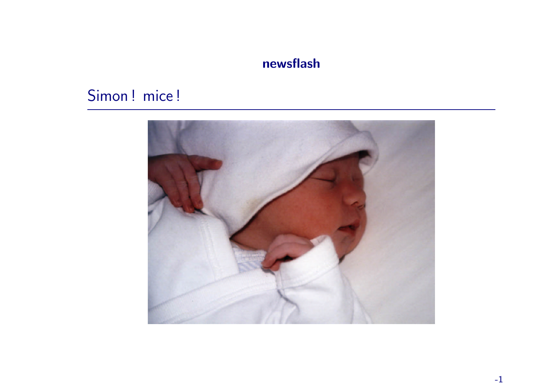### newsflash

# Simon! mice!

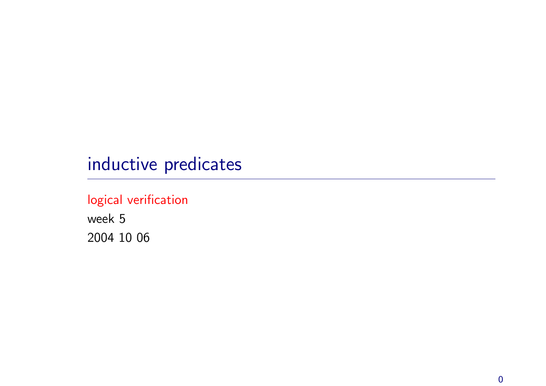# inductive predicates

### logical verification

week 5 2004 10 06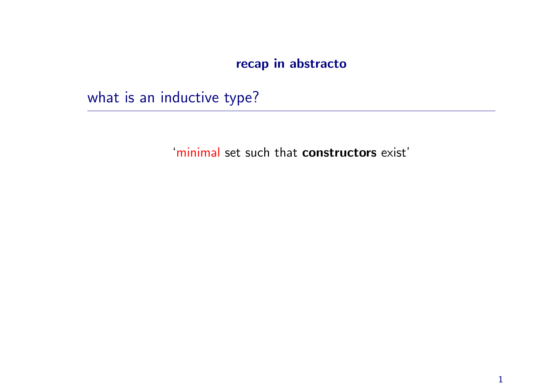### recap in abstracto

what is an inductive type?

'minimal set such that constructors exist'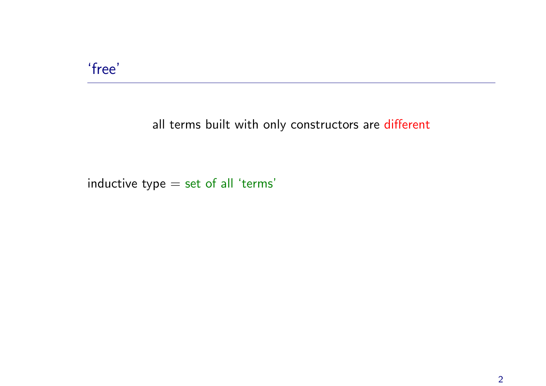### 'free'

#### all terms built with only constructors are different

inductive type  $=$  set of all 'terms'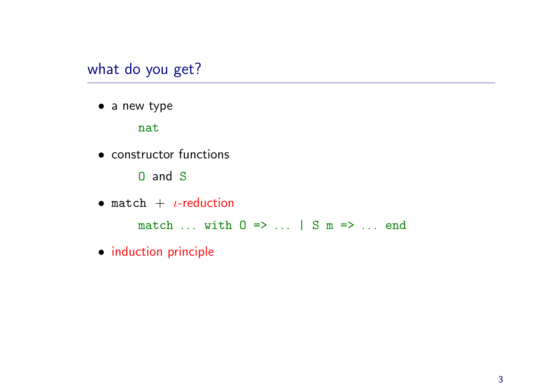### what do you get?

• a new type

nat

- constructor functions
	- O and S
- match  $+$   $\iota$ -reduction

match  $\ldots$  with  $0 \implies \ldots$  | S m =>  $\ldots$  end

• induction principle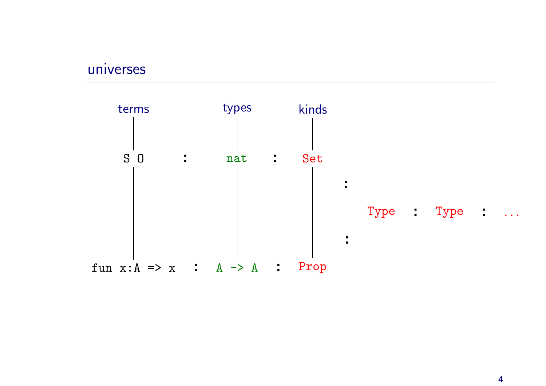#### universes

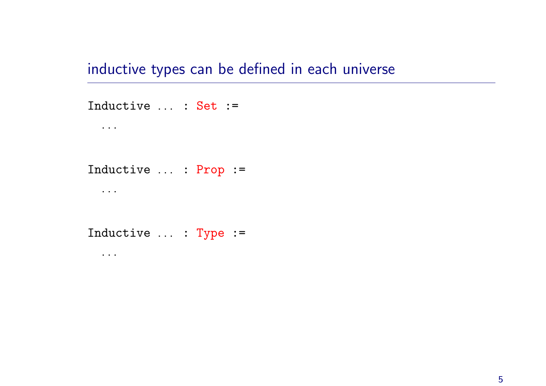inductive types can be defined in each universe

Inductive ... : Set := . . . Inductive ... : Prop := . . . Inductive ... : Type := . . .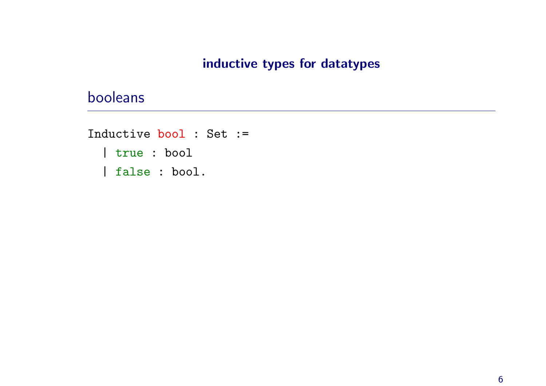#### inductive types for datatypes

### booleans

Inductive bool : Set := | true : bool | false : bool.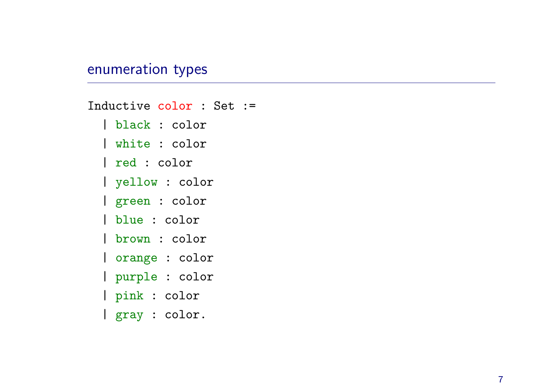#### enumeration types

Inductive color : Set := | black : color | white : color | red : color | yellow : color | green : color | blue : color | brown : color | orange : color | purple : color | pink : color | gray : color.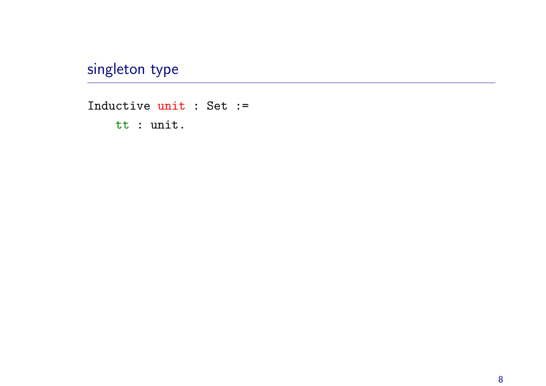singleton type

Inductive unit : Set := tt : unit.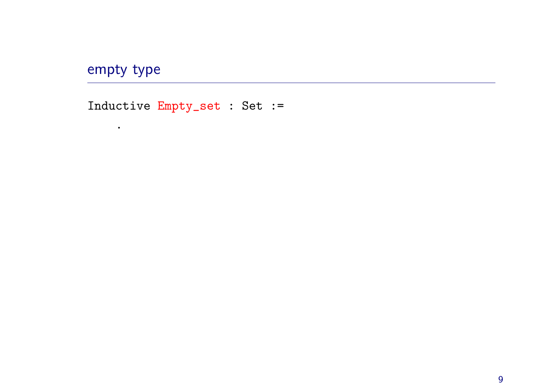## empty type

.

Inductive Empty\_set : Set :=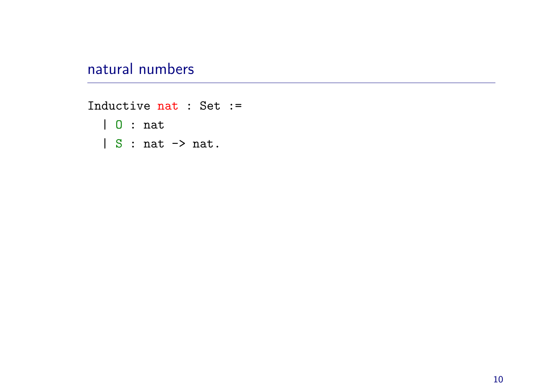## natural numbers

Inductive nat : Set := | O : nat | S : nat -> nat.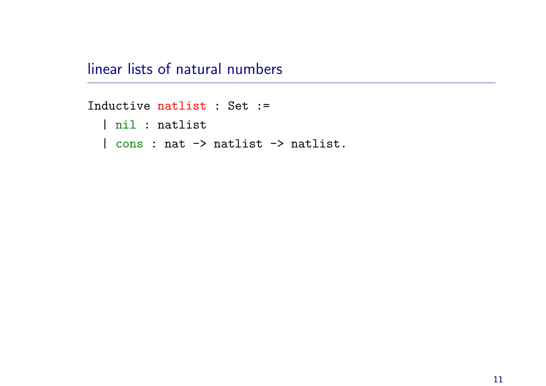linear lists of natural numbers

Inductive natlist : Set := | nil : natlist | cons : nat -> natlist -> natlist.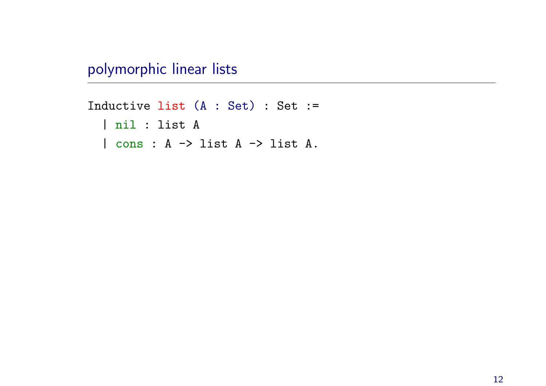polymorphic linear lists

```
Inductive list (A : Set) : Set :=
  | nil : list A
  | cons : A -> list A -> list A.
```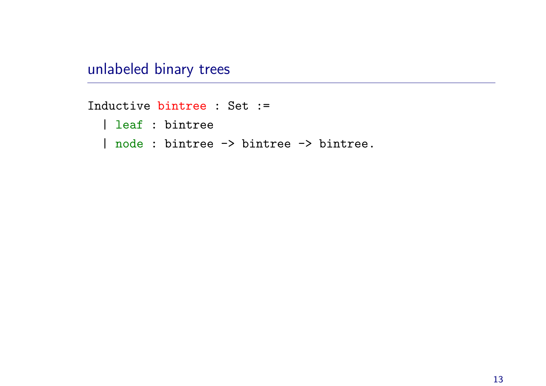unlabeled binary trees

Inductive bintree : Set :=

| leaf : bintree

| node : bintree -> bintree -> bintree.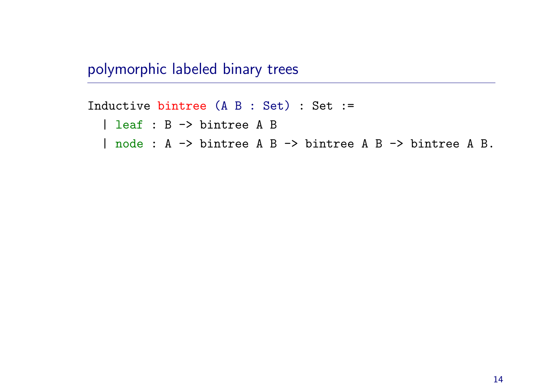polymorphic labeled binary trees

Inductive bintree (A B : Set) : Set :=

| leaf : B -> bintree A B

| node : A -> bintree A B -> bintree A B -> bintree A B.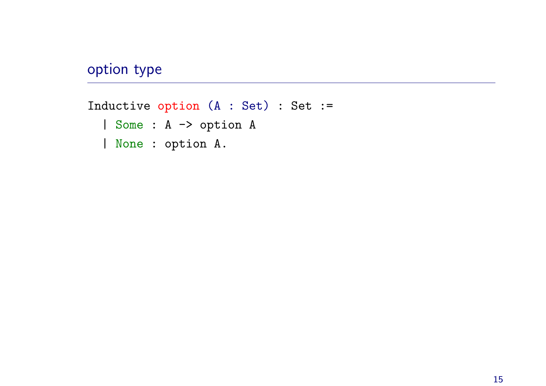## option type

Inductive option (A : Set) : Set := | Some : <sup>A</sup> -> option <sup>A</sup> | None : option A.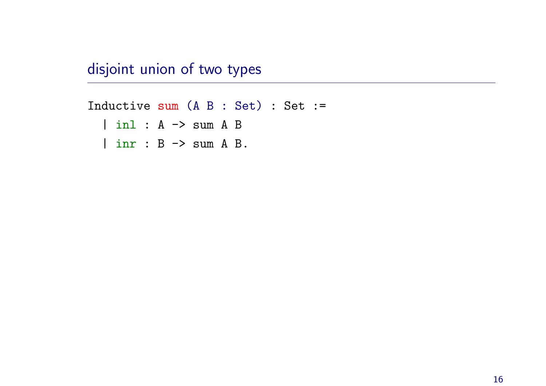disjoint union of two types

Inductive sum (A B : Set) : Set := | inl : A -> sum A B | inr : B -> sum A B.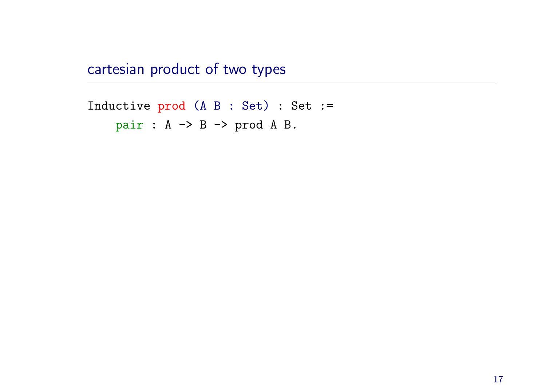cartesian product of two types

Inductive pro<sup>d</sup> (A <sup>B</sup> : Set) : Set := pair : A -> B -> prod A B.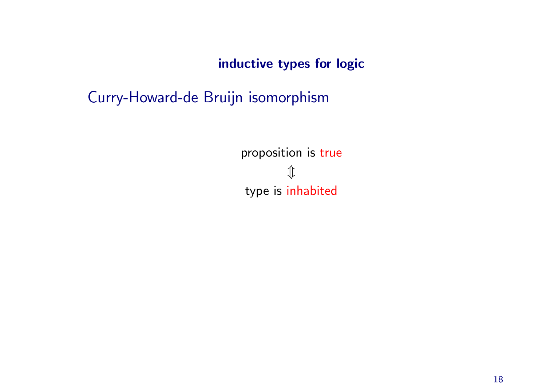inductive types for logic

Curry-Howard-de Bruijn isomorphism

proposition is true  $\mathcal{D}$ type is inhabited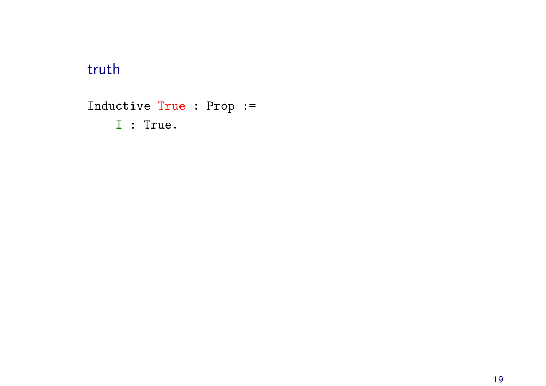## truth

Inductive True : Prop :=

 $I : True.$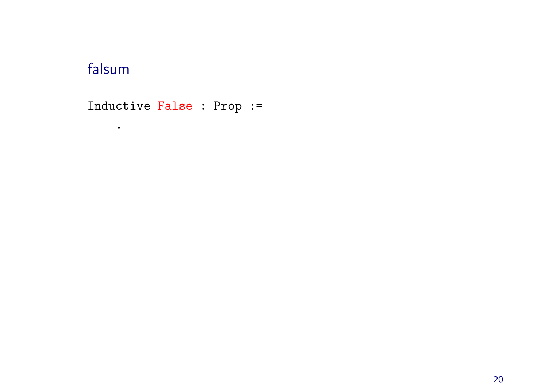# falsum

 $\bullet$  .

Inductive False : Prop :=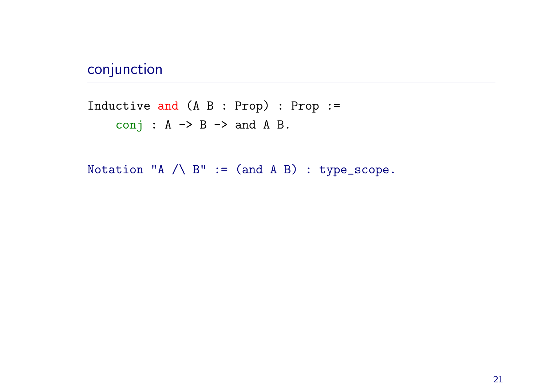# conjunction

Inductive and (A <sup>B</sup> : Prop) : Prop := conj :  $A \rightarrow B \rightarrow$  and  $A B$ .

Notation "A  $\land$  B" := (and A B) : type\_scope.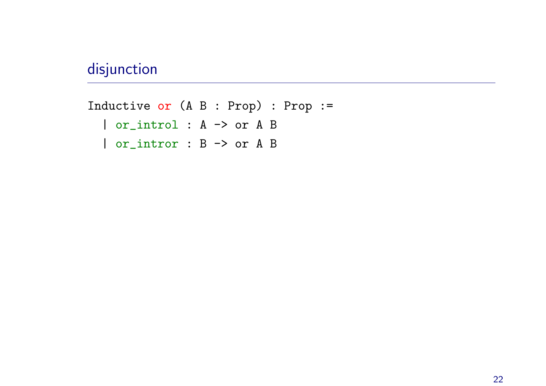## disjunction

Inductive or (A <sup>B</sup> : Prop) : Prop := | or\_introl : A -> or A B | or\_intror : B -> or A B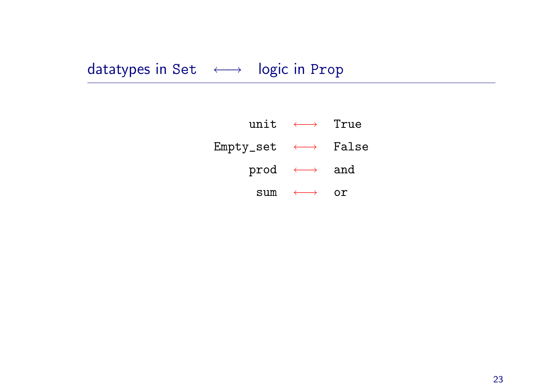# datatypes in Set < → logic in Prop

|                                                                      | unit $\longleftrightarrow$ True |  |
|----------------------------------------------------------------------|---------------------------------|--|
| $\texttt{Empty\_set} \quad \longleftrightarrow \quad \texttt{False}$ |                                 |  |
|                                                                      | prod $\longleftrightarrow$ and  |  |
| sum                                                                  |                                 |  |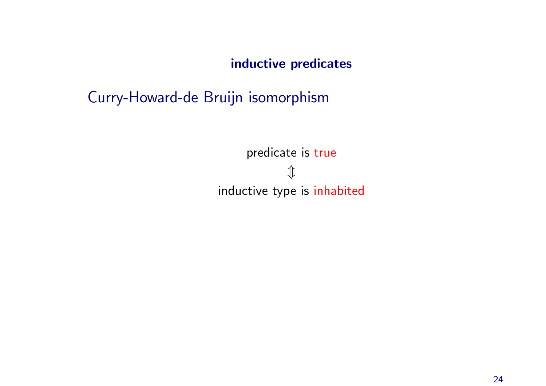#### inductive predicates

Curry-Howard-de Bruijn isomorphism

predicate is true  $\hat{\psi}$ inductive type is inhabited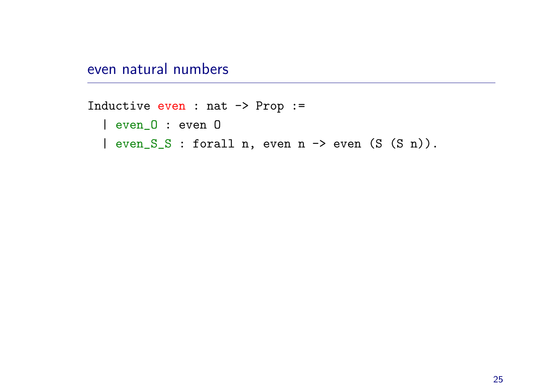even natural numbers

```
Inductive even : nat -> Prop :=
  | even_O : even O
  | even_S_S : forall n, even n -> even (S (S n)).
```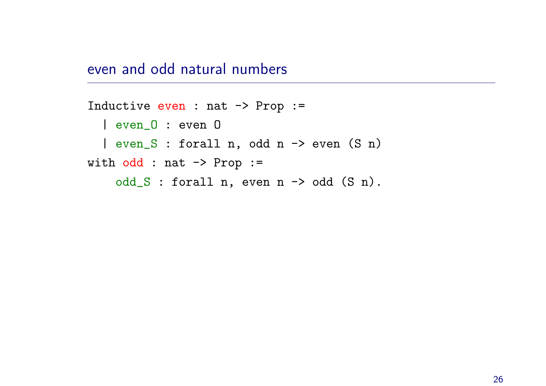even and odd natural numbers

```
Inductive even : nat \rightarrow Prop :=
  | even_O : even O
  | even_S : forall n, odd n -> even (S n)
with odd : nat \rightarrow Prop :=odd_S : forall n, even n \rightarrow odd (S \n n).
```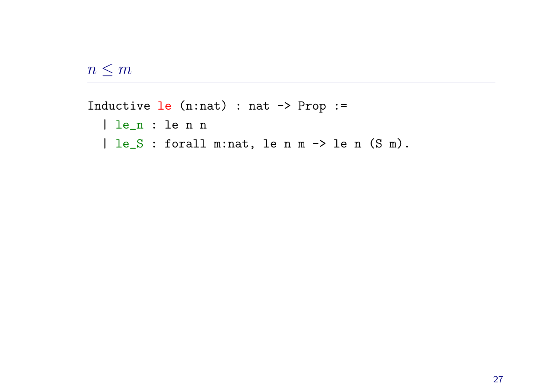$n \leq m$ 

Inductive  $le$  (n:nat) : nat  $\rightarrow$  Prop := | le\_n : le <sup>n</sup> <sup>n</sup> | le\_S : forall m:nat, le n m -> le n (S m).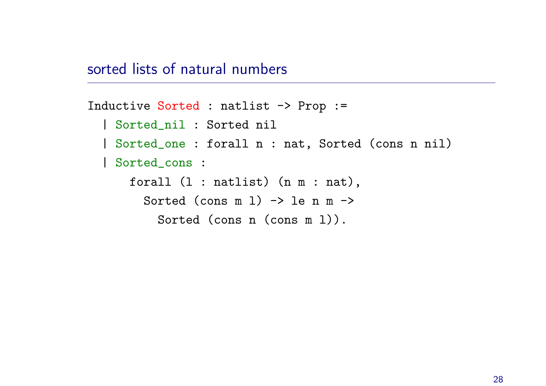### sorted lists of natural numbers

```
Inductive Sorted : natlist -> Prop :=
  | Sorted_nil : Sorted nil
  | Sorted_one : forall n : nat, Sorted (cons n nil)
  | Sorted_cons :
      forall (l : natlist) (n m : nat),
        Sorted (cons m 1) \rightarrow le n m \rightarrowSorted (cons n (cons m l)).
```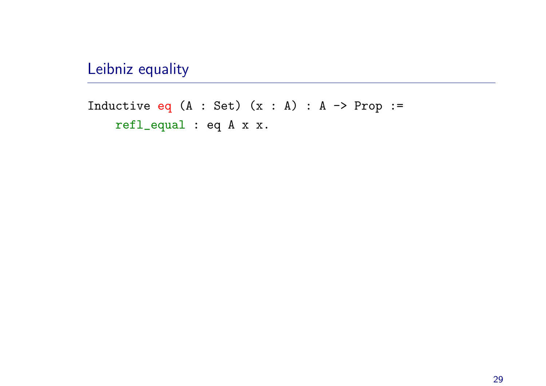Leibniz equality

Inductive eq  $(A : Set)$   $(x : A) : A \rightarrow Prop :=$ refl\_equal : eq A x x.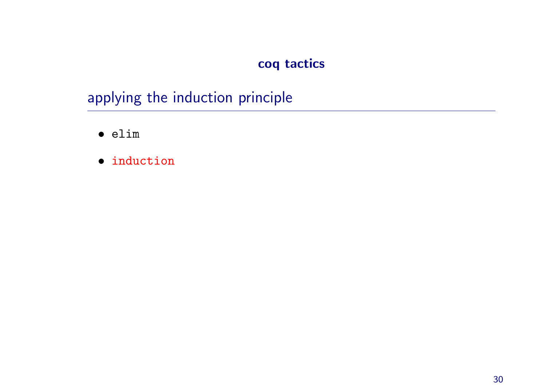### coq tactics

# applying the induction principle

- elim
- induction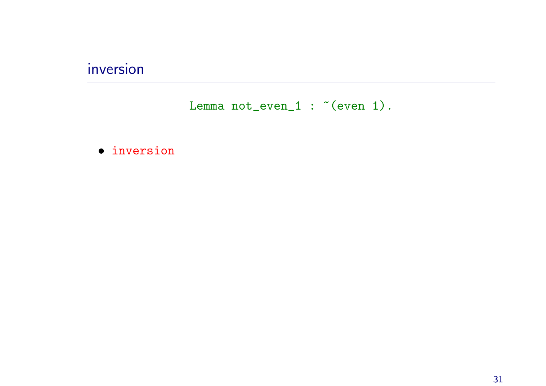## inversion

Lemma  $not\_even_1$ : "(even 1).

#### · inversion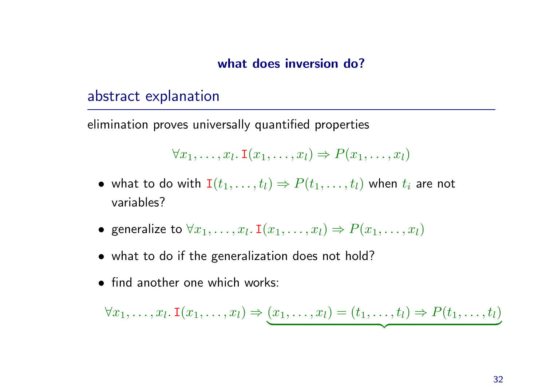#### what does inversion do?

#### abstract explanation

elimination proves universally quantified properties

$$
\forall x_1, \ldots, x_l \colon \mathbf{I}(x_1, \ldots, x_l) \Rightarrow P(x_1, \ldots, x_l)
$$

- $\bullet\,$  what to do with  $\mathtt{I}(t_1,\ldots,t_l)\Rightarrow P(t_1,\ldots,t_l)$  when  $t_i$  are not variables?
- $\bullet\,$  generalize to  $\forall x_1,\ldots,x_l$ . I $(x_1,\ldots,x_l)\Rightarrow P(x_1,\ldots,x_l)$
- what to do if the generalization does not hold?
- find another one which works:

$$
\forall x_1, \ldots, x_l \colon \mathbf{I}(x_1, \ldots, x_l) \Rightarrow (x_1, \ldots, x_l) = (t_1, \ldots, t_l) \Rightarrow P(t_1, \ldots, t_l)
$$